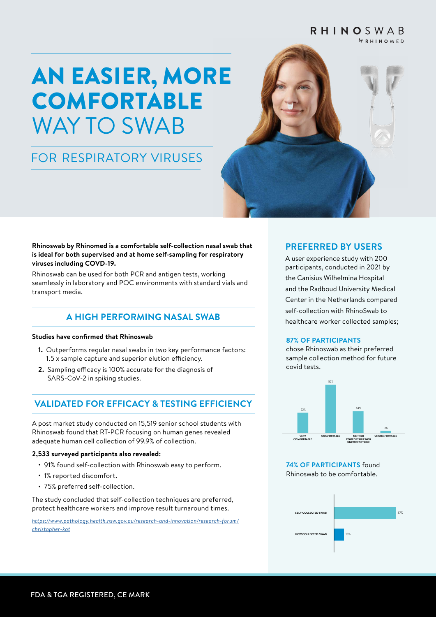#### RHINOSWAB  $\mathbf{b}$ y R H I N O M F D

# AN EASIER, MORE COMFORTABLE WAY TO SWAB

## FOR RESPIRATORY VIRUSES



**Rhinoswab by Rhinomed is a comfortable self-collection nasal swab that is ideal for both supervised and at home self-sampling for respiratory viruses including COVD-19.** 

Rhinoswab can be used for both PCR and antigen tests, working seamlessly in laboratory and POC environments with standard vials and transport media.

## **A HIGH PERFORMING NASAL SWAB**

#### **Studies have confirmed that Rhinoswab**

- **1.** Outperforms regular nasal swabs in two key performance factors: 1.5 x sample capture and superior elution efficiency.
- **2.** Sampling efficacy is 100% accurate for the diagnosis of SARS-CoV-2 in spiking studies.

## **VALIDATED FOR EFFICACY & TESTING EFFICIENCY**

A post market study conducted on 15,519 senior school students with Rhinoswab found that RT-PCR focusing on human genes revealed adequate human cell collection of 99.9% of collection.

#### **2,533 surveyed participants also revealed:**

- 91% found self-collection with Rhinoswab easy to perform.
- 1% reported discomfort.
- 75% preferred self-collection.

The study concluded that self-collection techniques are preferred, protect healthcare workers and improve result turnaround times.

*[https://www.pathology.health.nsw.gov.au/research-and-innovation/research-forum/](https://www.pathology.health.nsw.gov.au/research-and-innovation/research-forum/christopher-kot) [christopher-kot](https://www.pathology.health.nsw.gov.au/research-and-innovation/research-forum/christopher-kot)*

#### **PREFERRED BY USERS**

A user experience study with 200 participants, conducted in 2021 by the Canisius Wilhelmina Hospital and the Radboud University Medical Center in the Netherlands compared self-collection with RhinoSwab to healthcare worker collected samples;

#### **87% OF PARTICIPANTS**

chose Rhinoswab as their preferred sample collection method for future covid tests.



**74% OF PARTICIPANTS** found Rhinoswab to be comfortable.